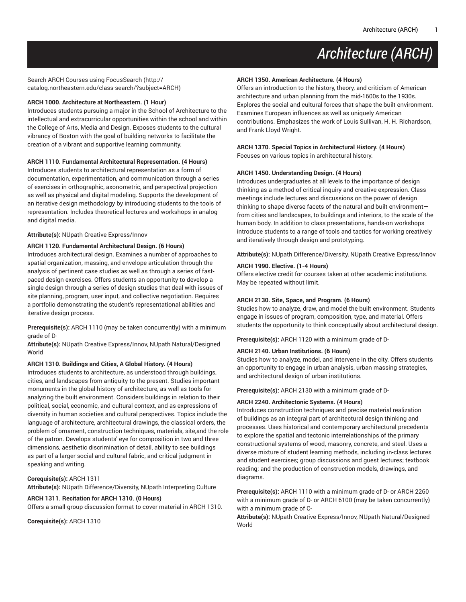Search ARCH Courses using [FocusSearch \(http://](http://catalog.northeastern.edu/class-search/?subject=ARCH) [catalog.northeastern.edu/class-search/?subject=ARCH\)](http://catalog.northeastern.edu/class-search/?subject=ARCH)

#### **ARCH 1000. Architecture at Northeastern. (1 Hour)**

Introduces students pursuing a major in the School of Architecture to the intellectual and extracurricular opportunities within the school and within the College of Arts, Media and Design. Exposes students to the cultural vibrancy of Boston with the goal of building networks to facilitate the creation of a vibrant and supportive learning community.

### **ARCH 1110. Fundamental Architectural Representation. (4 Hours)**

Introduces students to architectural representation as a form of documentation, experimentation, and communication through a series of exercises in orthographic, axonometric, and perspectival projection as well as physical and digital modeling. Supports the development of an iterative design methodology by introducing students to the tools of representation. Includes theoretical lectures and workshops in analog and digital media.

#### **Attribute(s):** NUpath Creative Express/Innov

#### **ARCH 1120. Fundamental Architectural Design. (6 Hours)**

Introduces architectural design. Examines a number of approaches to spatial organization, massing, and envelope articulation through the analysis of pertinent case studies as well as through a series of fastpaced design exercises. Offers students an opportunity to develop a single design through a series of design studies that deal with issues of site planning, program, user input, and collective negotiation. Requires a portfolio demonstrating the student's representational abilities and iterative design process.

**Prerequisite(s):** ARCH 1110 (may be taken concurrently) with a minimum grade of D-

**Attribute(s):** NUpath Creative Express/Innov, NUpath Natural/Designed World

### **ARCH 1310. Buildings and Cities, A Global History. (4 Hours)**

Introduces students to architecture, as understood through buildings, cities, and landscapes from antiquity to the present. Studies important monuments in the global history of architecture, as well as tools for analyzing the built environment. Considers buildings in relation to their political, social, economic, and cultural context, and as expressions of diversity in human societies and cultural perspectives. Topics include the language of architecture, architectural drawings, the classical orders, the problem of ornament, construction techniques, materials, site,and the role of the patron. Develops students' eye for composition in two and three dimensions, aesthetic discrimination of detail, ability to see buildings as part of a larger social and cultural fabric, and critical judgment in speaking and writing.

#### **Corequisite(s):** ARCH 1311

**Attribute(s):** NUpath Difference/Diversity, NUpath Interpreting Culture

### **ARCH 1311. Recitation for ARCH 1310. (0 Hours)**

Offers a small-group discussion format to cover material in ARCH 1310.

**Corequisite(s):** ARCH 1310

### **ARCH 1350. American Architecture. (4 Hours)**

Offers an introduction to the history, theory, and criticism of American architecture and urban planning from the mid-1600s to the 1930s. Explores the social and cultural forces that shape the built environment. Examines European influences as well as uniquely American contributions. Emphasizes the work of Louis Sullivan, H. H. Richardson, and Frank Lloyd Wright.

# **ARCH 1370. Special Topics in Architectural History. (4 Hours)**

Focuses on various topics in architectural history.

### **ARCH 1450. Understanding Design. (4 Hours)**

Introduces undergraduates at all levels to the importance of design thinking as a method of critical inquiry and creative expression. Class meetings include lectures and discussions on the power of design thinking to shape diverse facets of the natural and built environment from cities and landscapes, to buildings and interiors, to the scale of the human body. In addition to class presentations, hands-on workshops introduce students to a range of tools and tactics for working creatively and iteratively through design and prototyping.

**Attribute(s):** NUpath Difference/Diversity, NUpath Creative Express/Innov

### **ARCH 1990. Elective. (1-4 Hours)**

Offers elective credit for courses taken at other academic institutions. May be repeated without limit.

### **ARCH 2130. Site, Space, and Program. (6 Hours)**

Studies how to analyze, draw, and model the built environment. Students engage in issues of program, composition, type, and material. Offers students the opportunity to think conceptually about architectural design.

**Prerequisite(s):** ARCH 1120 with a minimum grade of D-

### **ARCH 2140. Urban Institutions. (6 Hours)**

Studies how to analyze, model, and intervene in the city. Offers students an opportunity to engage in urban analysis, urban massing strategies, and architectural design of urban institutions.

**Prerequisite(s):** ARCH 2130 with a minimum grade of D-

### **ARCH 2240. Architectonic Systems. (4 Hours)**

Introduces construction techniques and precise material realization of buildings as an integral part of architectural design thinking and processes. Uses historical and contemporary architectural precedents to explore the spatial and tectonic interrelationships of the primary constructional systems of wood, masonry, concrete, and steel. Uses a diverse mixture of student learning methods, including in-class lectures and student exercises; group discussions and guest lectures; textbook reading; and the production of construction models, drawings, and diagrams.

**Prerequisite(s):** ARCH 1110 with a minimum grade of D- or ARCH 2260 with a minimum grade of D- or ARCH 6100 (may be taken concurrently) with a minimum grade of C-

**Attribute(s):** NUpath Creative Express/Innov, NUpath Natural/Designed World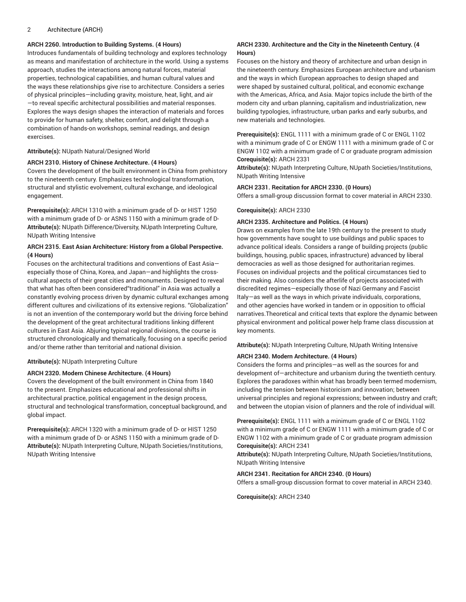### **ARCH 2260. Introduction to Building Systems. (4 Hours)**

Introduces fundamentals of building technology and explores technology as means and manifestation of architecture in the world. Using a systems approach, studies the interactions among natural forces, material properties, technological capabilities, and human cultural values and the ways these relationships give rise to architecture. Considers a series of physical principles—including gravity, moisture, heat, light, and air —to reveal specific architectural possibilities and material responses. Explores the ways design shapes the interaction of materials and forces to provide for human safety, shelter, comfort, and delight through a combination of hands-on workshops, seminal readings, and design exercises.

**Attribute(s):** NUpath Natural/Designed World

### **ARCH 2310. History of Chinese Architecture. (4 Hours)**

Covers the development of the built environment in China from prehistory to the nineteenth century. Emphasizes technological transformation, structural and stylistic evolvement, cultural exchange, and ideological engagement.

**Prerequisite(s):** ARCH 1310 with a minimum grade of D- or HIST 1250 with a minimum grade of D- or ASNS 1150 with a minimum grade of D-**Attribute(s):** NUpath Difference/Diversity, NUpath Interpreting Culture, NUpath Writing Intensive

### **ARCH 2315. East Asian Architecture: History from a Global Perspective. (4 Hours)**

Focuses on the architectural traditions and conventions of East Asia especially those of China, Korea, and Japan—and highlights the crosscultural aspects of their great cities and monuments. Designed to reveal that what has often been considered"traditional" in Asia was actually a constantly evolving process driven by dynamic cultural exchanges among different cultures and civilizations of its extensive regions. "Globalization" is not an invention of the contemporary world but the driving force behind the development of the great architectural traditions linking different cultures in East Asia. Abjuring typical regional divisions, the course is structured chronologically and thematically, focusing on a specific period and/or theme rather than territorial and national division.

**Attribute(s):** NUpath Interpreting Culture

### **ARCH 2320. Modern Chinese Architecture. (4 Hours)**

Covers the development of the built environment in China from 1840 to the present. Emphasizes educational and professional shifts in architectural practice, political engagement in the design process, structural and technological transformation, conceptual background, and global impact.

**Prerequisite(s):** ARCH 1320 with a minimum grade of D- or HIST 1250 with a minimum grade of D- or ASNS 1150 with a minimum grade of D-**Attribute(s):** NUpath Interpreting Culture, NUpath Societies/Institutions, NUpath Writing Intensive

### **ARCH 2330. Architecture and the City in the Nineteenth Century. (4 Hours)**

Focuses on the history and theory of architecture and urban design in the nineteenth century. Emphasizes European architecture and urbanism and the ways in which European approaches to design shaped and were shaped by sustained cultural, political, and economic exchange with the Americas, Africa, and Asia. Major topics include the birth of the modern city and urban planning, capitalism and industrialization, new building typologies, infrastructure, urban parks and early suburbs, and new materials and technologies.

**Prerequisite(s):** ENGL 1111 with a minimum grade of C or ENGL 1102 with a minimum grade of C or ENGW 1111 with a minimum grade of C or ENGW 1102 with a minimum grade of C or graduate program admission **Corequisite(s):** ARCH 2331

**Attribute(s):** NUpath Interpreting Culture, NUpath Societies/Institutions, NUpath Writing Intensive

#### **ARCH 2331. Recitation for ARCH 2330. (0 Hours)**

Offers a small-group discussion format to cover material in ARCH 2330.

#### **Corequisite(s):** ARCH 2330

#### **ARCH 2335. Architecture and Politics. (4 Hours)**

Draws on examples from the late 19th century to the present to study how governments have sought to use buildings and public spaces to advance political ideals. Considers a range of building projects (public buildings, housing, public spaces, infrastructure) advanced by liberal democracies as well as those designed for authoritarian regimes. Focuses on individual projects and the political circumstances tied to their making. Also considers the afterlife of projects associated with discredited regimes—especially those of Nazi Germany and Fascist Italy—as well as the ways in which private individuals, corporations, and other agencies have worked in tandem or in opposition to official narratives.Theoretical and critical texts that explore the dynamic between physical environment and political power help frame class discussion at key moments.

**Attribute(s):** NUpath Interpreting Culture, NUpath Writing Intensive

### **ARCH 2340. Modern Architecture. (4 Hours)**

Considers the forms and principles—as well as the sources for and development of—architecture and urbanism during the twentieth century. Explores the paradoxes within what has broadly been termed modernism, including the tension between historicism and innovation; between universal principles and regional expressions; between industry and craft; and between the utopian vision of planners and the role of individual will.

**Prerequisite(s):** ENGL 1111 with a minimum grade of C or ENGL 1102 with a minimum grade of C or ENGW 1111 with a minimum grade of C or ENGW 1102 with a minimum grade of C or graduate program admission **Corequisite(s):** ARCH 2341

**Attribute(s):** NUpath Interpreting Culture, NUpath Societies/Institutions, NUpath Writing Intensive

### **ARCH 2341. Recitation for ARCH 2340. (0 Hours)**

Offers a small-group discussion format to cover material in ARCH 2340.

**Corequisite(s):** ARCH 2340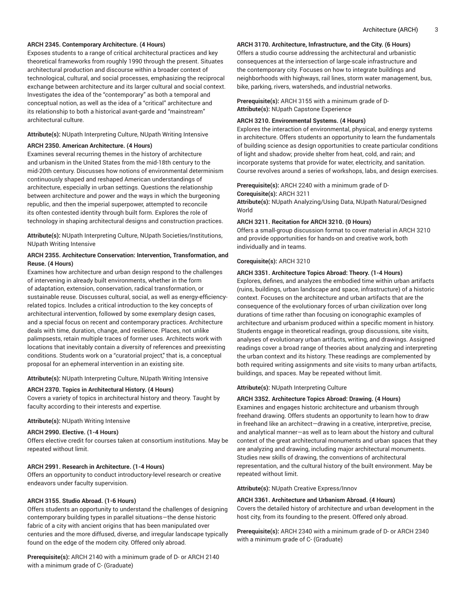### **ARCH 2345. Contemporary Architecture. (4 Hours)**

Exposes students to a range of critical architectural practices and key theoretical frameworks from roughly 1990 through the present. Situates architectural production and discourse within a broader context of technological, cultural, and social processes, emphasizing the reciprocal exchange between architecture and its larger cultural and social context. Investigates the idea of the "contemporary" as both a temporal and conceptual notion, as well as the idea of a "critical" architecture and its relationship to both a historical avant-garde and "mainstream" architectural culture.

### **Attribute(s):** NUpath Interpreting Culture, NUpath Writing Intensive

#### **ARCH 2350. American Architecture. (4 Hours)**

Examines several recurring themes in the history of architecture and urbanism in the United States from the mid-18th century to the mid-20th century. Discusses how notions of environmental determinism continuously shaped and reshaped American understandings of architecture, especially in urban settings. Questions the relationship between architecture and power and the ways in which the burgeoning republic, and then the imperial superpower, attempted to reconcile its often contested identity through built form. Explores the role of technology in shaping architectural designs and construction practices.

**Attribute(s):** NUpath Interpreting Culture, NUpath Societies/Institutions, NUpath Writing Intensive

### **ARCH 2355. Architecture Conservation: Intervention, Transformation, and Reuse. (4 Hours)**

Examines how architecture and urban design respond to the challenges of intervening in already built environments, whether in the form of adaptation, extension, conservation, radical transformation, or sustainable reuse. Discusses cultural, social, as well as energy-efficiencyrelated topics. Includes a critical introduction to the key concepts of architectural intervention, followed by some exemplary design cases, and a special focus on recent and contemporary practices. Architecture deals with time, duration, change, and resilience. Places, not unlike palimpsests, retain multiple traces of former uses. Architects work with locations that inevitably contain a diversity of references and preexisting conditions. Students work on a "curatorial project," that is, a conceptual proposal for an ephemeral intervention in an existing site.

**Attribute(s):** NUpath Interpreting Culture, NUpath Writing Intensive

#### **ARCH 2370. Topics in Architectural History. (4 Hours)**

Covers a variety of topics in architectural history and theory. Taught by faculty according to their interests and expertise.

#### **Attribute(s):** NUpath Writing Intensive

### **ARCH 2990. Elective. (1-4 Hours)**

Offers elective credit for courses taken at consortium institutions. May be repeated without limit.

#### **ARCH 2991. Research in Architecture. (1-4 Hours)**

Offers an opportunity to conduct introductory-level research or creative endeavors under faculty supervision.

#### **ARCH 3155. Studio Abroad. (1-6 Hours)**

Offers students an opportunity to understand the challenges of designing contemporary building types in parallel situations—the dense historic fabric of a city with ancient origins that has been manipulated over centuries and the more diffused, diverse, and irregular landscape typically found on the edge of the modern city. Offered only abroad.

**Prerequisite(s):** ARCH 2140 with a minimum grade of D- or ARCH 2140 with a minimum grade of C- (Graduate)

### **ARCH 3170. Architecture, Infrastructure, and the City. (6 Hours)**

Offers a studio course addressing the architectural and urbanistic consequences at the intersection of large-scale infrastructure and the contemporary city. Focuses on how to integrate buildings and neighborhoods with highways, rail lines, storm water management, bus, bike, parking, rivers, watersheds, and industrial networks.

**Prerequisite(s):** ARCH 3155 with a minimum grade of D-**Attribute(s):** NUpath Capstone Experience

### **ARCH 3210. Environmental Systems. (4 Hours)**

Explores the interaction of environmental, physical, and energy systems in architecture. Offers students an opportunity to learn the fundamentals of building science as design opportunities to create particular conditions of light and shadow; provide shelter from heat, cold, and rain; and incorporate systems that provide for water, electricity, and sanitation. Course revolves around a series of workshops, labs, and design exercises.

### **Prerequisite(s):** ARCH 2240 with a minimum grade of D-**Corequisite(s):** ARCH 3211

**Attribute(s):** NUpath Analyzing/Using Data, NUpath Natural/Designed World

#### **ARCH 3211. Recitation for ARCH 3210. (0 Hours)**

Offers a small-group discussion format to cover material in ARCH 3210 and provide opportunities for hands-on and creative work, both individually and in teams.

#### **Corequisite(s):** ARCH 3210

#### **ARCH 3351. Architecture Topics Abroad: Theory. (1-4 Hours)**

Explores, defines, and analyzes the embodied time within urban artifacts (ruins, buildings, urban landscape and space, infrastructure) of a historic context. Focuses on the architecture and urban artifacts that are the consequence of the evolutionary forces of urban civilization over long durations of time rather than focusing on iconographic examples of architecture and urbanism produced within a specific moment in history. Students engage in theoretical readings, group discussions, site visits, analyses of evolutionary urban artifacts, writing, and drawings. Assigned readings cover a broad range of theories about analyzing and interpreting the urban context and its history. These readings are complemented by both required writing assignments and site visits to many urban artifacts, buildings, and spaces. May be repeated without limit.

### **Attribute(s):** NUpath Interpreting Culture

#### **ARCH 3352. Architecture Topics Abroad: Drawing. (4 Hours)**

Examines and engages historic architecture and urbanism through freehand drawing. Offers students an opportunity to learn how to draw in freehand like an architect—drawing in a creative, interpretive, precise, and analytical manner—as well as to learn about the history and cultural context of the great architectural monuments and urban spaces that they are analyzing and drawing, including major architectural monuments. Studies new skills of drawing, the conventions of architectural representation, and the cultural history of the built environment. May be repeated without limit.

**Attribute(s):** NUpath Creative Express/Innov

#### **ARCH 3361. Architecture and Urbanism Abroad. (4 Hours)**

Covers the detailed history of architecture and urban development in the host city, from its founding to the present. Offered only abroad.

**Prerequisite(s):** ARCH 2340 with a minimum grade of D- or ARCH 2340 with a minimum grade of C- (Graduate)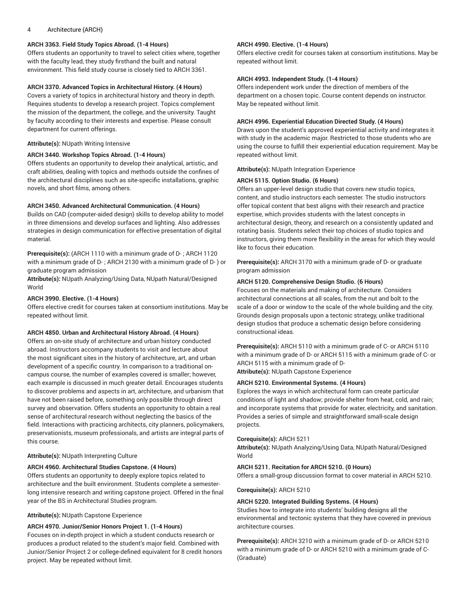# **ARCH 3363. Field Study Topics Abroad. (1-4 Hours)**

Offers students an opportunity to travel to select cities where, together with the faculty lead, they study firsthand the built and natural environment. This field study course is closely tied to ARCH 3361.

# **ARCH 3370. Advanced Topics in Architectural History. (4 Hours)**

Covers a variety of topics in architectural history and theory in depth. Requires students to develop a research project. Topics complement the mission of the department, the college, and the university. Taught by faculty according to their interests and expertise. Please consult department for current offerings.

# **Attribute(s):** NUpath Writing Intensive

# **ARCH 3440. Workshop Topics Abroad. (1-4 Hours)**

Offers students an opportunity to develop their analytical, artistic, and craft abilities, dealing with topics and methods outside the confines of the architectural disciplines such as site-specific installations, graphic novels, and short films, among others.

# **ARCH 3450. Advanced Architectural Communication. (4 Hours)**

Builds on CAD (computer-aided design) skills to develop ability to model in three dimensions and develop surfaces and lighting. Also addresses strategies in design communication for effective presentation of digital material.

**Prerequisite(s):** (ARCH 1110 with a minimum grade of D- ; ARCH 1120 with a minimum grade of D- ; ARCH 2130 with a minimum grade of D- ) or graduate program admission

**Attribute(s):** NUpath Analyzing/Using Data, NUpath Natural/Designed World

# **ARCH 3990. Elective. (1-4 Hours)**

Offers elective credit for courses taken at consortium institutions. May be repeated without limit.

# **ARCH 4850. Urban and Architectural History Abroad. (4 Hours)**

Offers an on-site study of architecture and urban history conducted abroad. Instructors accompany students to visit and lecture about the most significant sites in the history of architecture, art, and urban development of a specific country. In comparison to a traditional oncampus course, the number of examples covered is smaller; however, each example is discussed in much greater detail. Encourages students to discover problems and aspects in art, architecture, and urbanism that have not been raised before, something only possible through direct survey and observation. Offers students an opportunity to obtain a real sense of architectural research without neglecting the basics of the field. Interactions with practicing architects, city planners, policymakers, preservationists, museum professionals, and artists are integral parts of this course.

# **Attribute(s):** NUpath Interpreting Culture

# **ARCH 4960. Architectural Studies Capstone. (4 Hours)**

Offers students an opportunity to deeply explore topics related to architecture and the built environment. Students complete a semesterlong intensive research and writing capstone project. Offered in the final year of the BS in Architectural Studies program.

# **Attribute(s):** NUpath Capstone Experience

# **ARCH 4970. Junior/Senior Honors Project 1. (1-4 Hours)**

Focuses on in-depth project in which a student conducts research or produces a product related to the student's major field. Combined with Junior/Senior Project 2 or college-defined equivalent for 8 credit honors project. May be repeated without limit.

# **ARCH 4990. Elective. (1-4 Hours)**

Offers elective credit for courses taken at consortium institutions. May be repeated without limit.

# **ARCH 4993. Independent Study. (1-4 Hours)**

Offers independent work under the direction of members of the department on a chosen topic. Course content depends on instructor. May be repeated without limit.

# **ARCH 4996. Experiential Education Directed Study. (4 Hours)**

Draws upon the student's approved experiential activity and integrates it with study in the academic major. Restricted to those students who are using the course to fulfill their experiential education requirement. May be repeated without limit.

# **Attribute(s):** NUpath Integration Experience

# **ARCH 5115. Option Studio. (6 Hours)**

Offers an upper-level design studio that covers new studio topics, content, and studio instructors each semester. The studio instructors offer topical content that best aligns with their research and practice expertise, which provides students with the latest concepts in architectural design, theory, and research on a consistently updated and rotating basis. Students select their top choices of studio topics and instructors, giving them more flexibility in the areas for which they would like to focus their education.

**Prerequisite(s):** ARCH 3170 with a minimum grade of D- or graduate program admission

# **ARCH 5120. Comprehensive Design Studio. (6 Hours)**

Focuses on the materials and making of architecture. Considers architectural connections at all scales, from the nut and bolt to the scale of a door or window to the scale of the whole building and the city. Grounds design proposals upon a tectonic strategy, unlike traditional design studios that produce a schematic design before considering constructional ideas.

**Prerequisite(s):** ARCH 5110 with a minimum grade of C- or ARCH 5110 with a minimum grade of D- or ARCH 5115 with a minimum grade of C- or ARCH 5115 with a minimum grade of D-**Attribute(s):** NUpath Capstone Experience

**ARCH 5210. Environmental Systems. (4 Hours)**

Explores the ways in which architectural form can create particular conditions of light and shadow; provide shelter from heat, cold, and rain; and incorporate systems that provide for water, electricity, and sanitation. Provides a series of simple and straightforward small-scale design projects.

# **Corequisite(s):** ARCH 5211

**Attribute(s):** NUpath Analyzing/Using Data, NUpath Natural/Designed World

# **ARCH 5211. Recitation for ARCH 5210. (0 Hours)**

Offers a small-group discussion format to cover material in ARCH 5210.

# **Corequisite(s):** ARCH 5210

# **ARCH 5220. Integrated Building Systems. (4 Hours)**

Studies how to integrate into students' building designs all the environmental and tectonic systems that they have covered in previous architecture courses.

**Prerequisite(s):** ARCH 3210 with a minimum grade of D- or ARCH 5210 with a minimum grade of D- or ARCH 5210 with a minimum grade of C- (Graduate)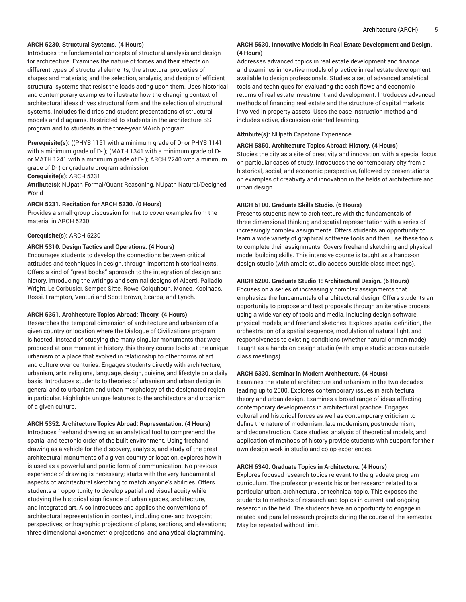### **ARCH 5230. Structural Systems. (4 Hours)**

Introduces the fundamental concepts of structural analysis and design for architecture. Examines the nature of forces and their effects on different types of structural elements; the structural properties of shapes and materials; and the selection, analysis, and design of efficient structural systems that resist the loads acting upon them. Uses historical and contemporary examples to illustrate how the changing context of architectural ideas drives structural form and the selection of structural systems. Includes field trips and student presentations of structural models and diagrams. Restricted to students in the architecture BS program and to students in the three-year MArch program.

**Prerequisite(s):** ((PHYS 1151 with a minimum grade of D- or PHYS 1141 with a minimum grade of D- ); (MATH 1341 with a minimum grade of Dor MATH 1241 with a minimum grade of D- ); ARCH 2240 with a minimum grade of D- ) or graduate program admission

**Corequisite(s):** ARCH 5231

**Attribute(s):** NUpath Formal/Quant Reasoning, NUpath Natural/Designed World

### **ARCH 5231. Recitation for ARCH 5230. (0 Hours)**

Provides a small-group discussion format to cover examples from the material in ARCH 5230.

### **Corequisite(s):** ARCH 5230

### **ARCH 5310. Design Tactics and Operations. (4 Hours)**

Encourages students to develop the connections between critical attitudes and techniques in design, through important historical texts. Offers a kind of "great books" approach to the integration of design and history, introducing the writings and seminal designs of Alberti, Palladio, Wright, Le Corbusier, Semper, Sitte, Rowe, Colquhoun, Moneo, Koolhaas, Rossi, Frampton, Venturi and Scott Brown, Scarpa, and Lynch.

### **ARCH 5351. Architecture Topics Abroad: Theory. (4 Hours)**

Researches the temporal dimension of architecture and urbanism of a given country or location where the Dialogue of Civilizations program is hosted. Instead of studying the many singular monuments that were produced at one moment in history, this theory course looks at the unique urbanism of a place that evolved in relationship to other forms of art and culture over centuries. Engages students directly with architecture, urbanism, arts, religions, language, design, cuisine, and lifestyle on a daily basis. Introduces students to theories of urbanism and urban design in general and to urbanism and urban morphology of the designated region in particular. Highlights unique features to the architecture and urbanism of a given culture.

**ARCH 5352. Architecture Topics Abroad: Representation. (4 Hours)**

Introduces freehand drawing as an analytical tool to comprehend the spatial and tectonic order of the built environment. Using freehand drawing as a vehicle for the discovery, analysis, and study of the great architectural monuments of a given country or location, explores how it is used as a powerful and poetic form of communication. No previous experience of drawing is necessary; starts with the very fundamental aspects of architectural sketching to match anyone's abilities. Offers students an opportunity to develop spatial and visual acuity while studying the historical significance of urban spaces, architecture, and integrated art. Also introduces and applies the conventions of architectural representation in context, including one- and two-point perspectives; orthographic projections of plans, sections, and elevations; three-dimensional axonometric projections; and analytical diagramming.

### **ARCH 5530. Innovative Models in Real Estate Development and Design. (4 Hours)**

Addresses advanced topics in real estate development and finance and examines innovative models of practice in real estate development available to design professionals. Studies a set of advanced analytical tools and techniques for evaluating the cash flows and economic returns of real estate investment and development. Introduces advanced methods of financing real estate and the structure of capital markets involved in property assets. Uses the case instruction method and includes active, discussion-oriented learning.

**Attribute(s):** NUpath Capstone Experience

### **ARCH 5850. Architecture Topics Abroad: History. (4 Hours)**

Studies the city as a site of creativity and innovation, with a special focus on particular cases of study. Introduces the contemporary city from a historical, social, and economic perspective, followed by presentations on examples of creativity and innovation in the fields of architecture and urban design.

### **ARCH 6100. Graduate Skills Studio. (6 Hours)**

Presents students new to architecture with the fundamentals of three-dimensional thinking and spatial representation with a series of increasingly complex assignments. Offers students an opportunity to learn a wide variety of graphical software tools and then use these tools to complete their assignments. Covers freehand sketching and physical model building skills. This intensive course is taught as a hands-on design studio (with ample studio access outside class meetings).

### **ARCH 6200. Graduate Studio 1: Architectural Design. (6 Hours)**

Focuses on a series of increasingly complex assignments that emphasize the fundamentals of architectural design. Offers students an opportunity to propose and test proposals through an iterative process using a wide variety of tools and media, including design software, physical models, and freehand sketches. Explores spatial definition, the orchestration of a spatial sequence, modulation of natural light, and responsiveness to existing conditions (whether natural or man-made). Taught as a hands-on design studio (with ample studio access outside class meetings).

### **ARCH 6330. Seminar in Modern Architecture. (4 Hours)**

Examines the state of architecture and urbanism in the two decades leading up to 2000. Explores contemporary issues in architectural theory and urban design. Examines a broad range of ideas affecting contemporary developments in architectural practice. Engages cultural and historical forces as well as contemporary criticism to define the nature of modernism, late modernism, postmodernism, and deconstruction. Case studies, analysis of theoretical models, and application of methods of history provide students with support for their own design work in studio and co-op experiences.

### **ARCH 6340. Graduate Topics in Architecture. (4 Hours)**

Explores focused research topics relevant to the graduate program curriculum. The professor presents his or her research related to a particular urban, architectural, or technical topic. This exposes the students to methods of research and topics in current and ongoing research in the field. The students have an opportunity to engage in related and parallel research projects during the course of the semester. May be repeated without limit.